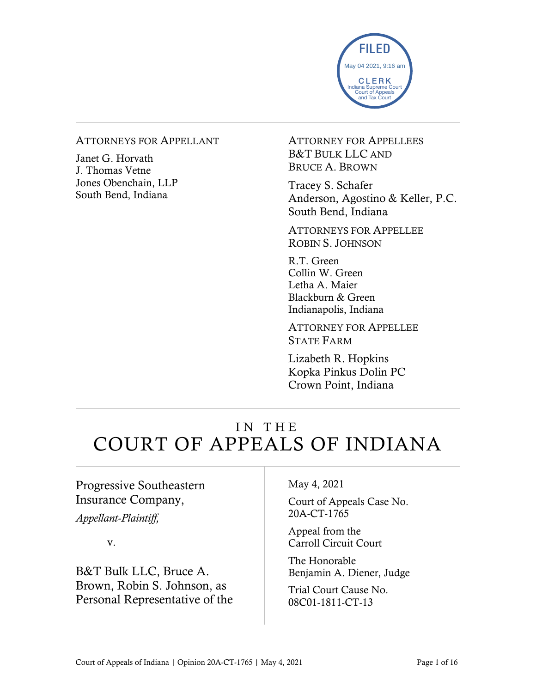

#### ATTORNEYS FOR APPELLANT

Janet G. Horvath J. Thomas Vetne Jones Obenchain, LLP South Bend, Indiana

ATTORNEY FOR APPELLEES B&T BULK LLC AND BRUCE A. BROWN

Tracey S. Schafer Anderson, Agostino & Keller, P.C. South Bend, Indiana

ATTORNEYS FOR APPELLEE ROBIN S. JOHNSON

R.T. Green Collin W. Green Letha A. Maier Blackburn & Green Indianapolis, Indiana

ATTORNEY FOR APPELLEE STATE FARM

Lizabeth R. Hopkins Kopka Pinkus Dolin PC Crown Point, Indiana

# IN THE COURT OF APPEALS OF INDIANA

### Progressive Southeastern Insurance Company,

*Appellant-Plaintiff,*

v.

B&T Bulk LLC, Bruce A. Brown, Robin S. Johnson, as Personal Representative of the May 4, 2021

Court of Appeals Case No. 20A-CT-1765

Appeal from the Carroll Circuit Court

The Honorable Benjamin A. Diener, Judge

Trial Court Cause No. 08C01-1811-CT-13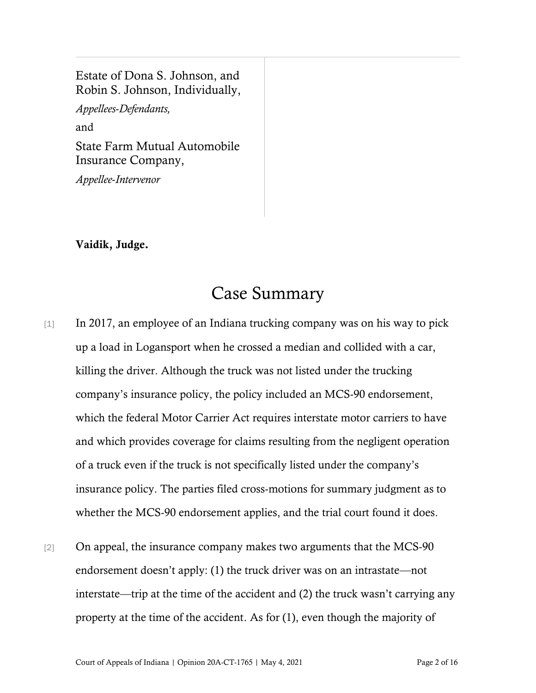Estate of Dona S. Johnson, and Robin S. Johnson, Individually,

*Appellees*-*Defendants,* and State Farm Mutual Automobile

Insurance Company,

*Appellee*-*Intervenor*

#### Vaidik, Judge.

## Case Summary

- [1] In 2017, an employee of an Indiana trucking company was on his way to pick up a load in Logansport when he crossed a median and collided with a car, killing the driver. Although the truck was not listed under the trucking company's insurance policy, the policy included an MCS-90 endorsement, which the federal Motor Carrier Act requires interstate motor carriers to have and which provides coverage for claims resulting from the negligent operation of a truck even if the truck is not specifically listed under the company's insurance policy. The parties filed cross-motions for summary judgment as to whether the MCS-90 endorsement applies, and the trial court found it does.
- [2] On appeal, the insurance company makes two arguments that the MCS-90 endorsement doesn't apply: (1) the truck driver was on an intrastate—not interstate—trip at the time of the accident and (2) the truck wasn't carrying any property at the time of the accident. As for (1), even though the majority of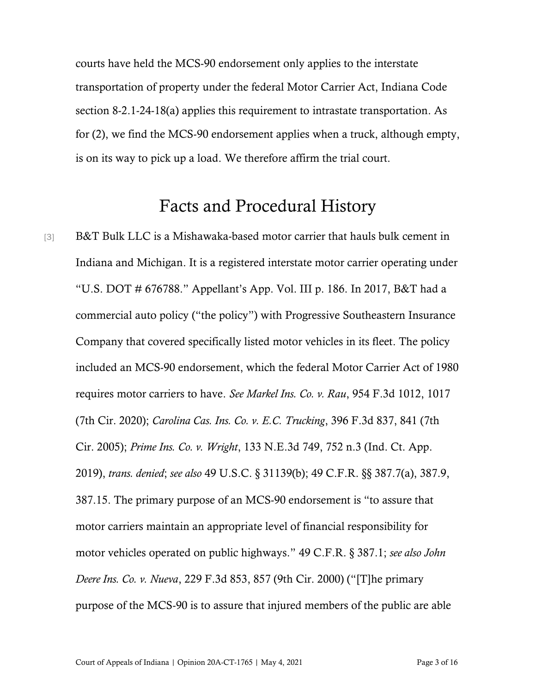courts have held the MCS-90 endorsement only applies to the interstate transportation of property under the federal Motor Carrier Act, Indiana Code section 8-2.1-24-18(a) applies this requirement to intrastate transportation. As for (2), we find the MCS-90 endorsement applies when a truck, although empty, is on its way to pick up a load. We therefore affirm the trial court.

### Facts and Procedural History

[3] B&T Bulk LLC is a Mishawaka-based motor carrier that hauls bulk cement in Indiana and Michigan. It is a registered interstate motor carrier operating under "U.S. DOT # 676788." Appellant's App. Vol. III p. 186. In 2017, B&T had a commercial auto policy ("the policy") with Progressive Southeastern Insurance Company that covered specifically listed motor vehicles in its fleet. The policy included an MCS-90 endorsement, which the federal Motor Carrier Act of 1980 requires motor carriers to have. *See Markel Ins. Co. v. Rau*, 954 F.3d 1012, 1017 (7th Cir. 2020); *Carolina Cas. Ins. Co. v. E.C. Trucking*, 396 F.3d 837, 841 (7th Cir. 2005); *Prime Ins. Co. v. Wright*, 133 N.E.3d 749, 752 n.3 (Ind. Ct. App. 2019), *trans. denied*; *see also* 49 U.S.C. § 31139(b); 49 C.F.R. §§ 387.7(a), 387.9, 387.15. The primary purpose of an MCS-90 endorsement is "to assure that motor carriers maintain an appropriate level of financial responsibility for motor vehicles operated on public highways." 49 C.F.R. § 387.1; *see also John Deere Ins. Co. v. Nueva*, 229 F.3d 853, 857 (9th Cir. 2000) ("[T]he primary purpose of the MCS-90 is to assure that injured members of the public are able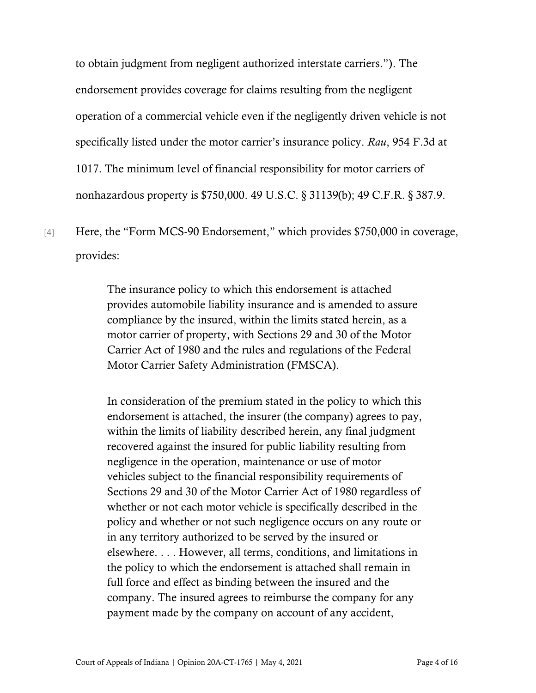to obtain judgment from negligent authorized interstate carriers."). The endorsement provides coverage for claims resulting from the negligent operation of a commercial vehicle even if the negligently driven vehicle is not specifically listed under the motor carrier's insurance policy. *Rau*, 954 F.3d at 1017. The minimum level of financial responsibility for motor carriers of nonhazardous property is \$750,000. 49 U.S.C. § 31139(b); 49 C.F.R. § 387.9.

[4] Here, the "Form MCS-90 Endorsement," which provides \$750,000 in coverage, provides:

> The insurance policy to which this endorsement is attached provides automobile liability insurance and is amended to assure compliance by the insured, within the limits stated herein, as a motor carrier of property, with Sections 29 and 30 of the Motor Carrier Act of 1980 and the rules and regulations of the Federal Motor Carrier Safety Administration (FMSCA).

In consideration of the premium stated in the policy to which this endorsement is attached, the insurer (the company) agrees to pay, within the limits of liability described herein, any final judgment recovered against the insured for public liability resulting from negligence in the operation, maintenance or use of motor vehicles subject to the financial responsibility requirements of Sections 29 and 30 of the Motor Carrier Act of 1980 regardless of whether or not each motor vehicle is specifically described in the policy and whether or not such negligence occurs on any route or in any territory authorized to be served by the insured or elsewhere. . . . However, all terms, conditions, and limitations in the policy to which the endorsement is attached shall remain in full force and effect as binding between the insured and the company. The insured agrees to reimburse the company for any payment made by the company on account of any accident,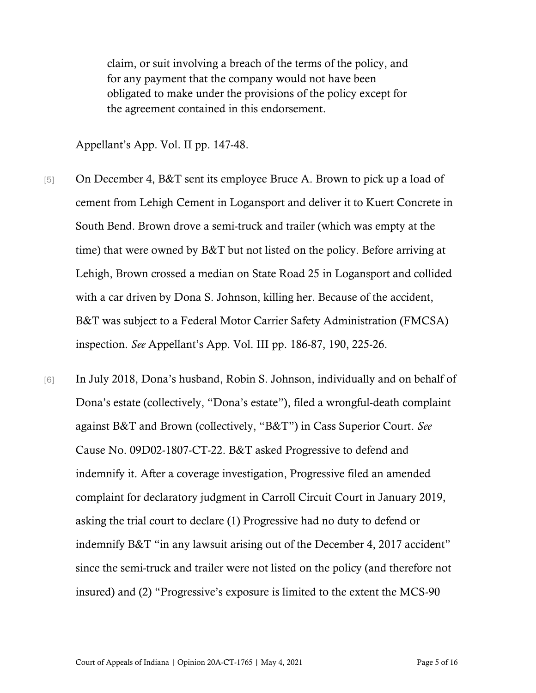claim, or suit involving a breach of the terms of the policy, and for any payment that the company would not have been obligated to make under the provisions of the policy except for the agreement contained in this endorsement.

Appellant's App. Vol. II pp. 147-48.

- [5] On December 4, B&T sent its employee Bruce A. Brown to pick up a load of cement from Lehigh Cement in Logansport and deliver it to Kuert Concrete in South Bend. Brown drove a semi-truck and trailer (which was empty at the time) that were owned by B&T but not listed on the policy. Before arriving at Lehigh, Brown crossed a median on State Road 25 in Logansport and collided with a car driven by Dona S. Johnson, killing her. Because of the accident, B&T was subject to a Federal Motor Carrier Safety Administration (FMCSA) inspection. *See* Appellant's App. Vol. III pp. 186-87, 190, 225-26.
- [6] In July 2018, Dona's husband, Robin S. Johnson, individually and on behalf of Dona's estate (collectively, "Dona's estate"), filed a wrongful-death complaint against B&T and Brown (collectively, "B&T") in Cass Superior Court. *See* Cause No. 09D02-1807-CT-22. B&T asked Progressive to defend and indemnify it. After a coverage investigation, Progressive filed an amended complaint for declaratory judgment in Carroll Circuit Court in January 2019, asking the trial court to declare (1) Progressive had no duty to defend or indemnify B&T "in any lawsuit arising out of the December 4, 2017 accident" since the semi-truck and trailer were not listed on the policy (and therefore not insured) and (2) "Progressive's exposure is limited to the extent the MCS-90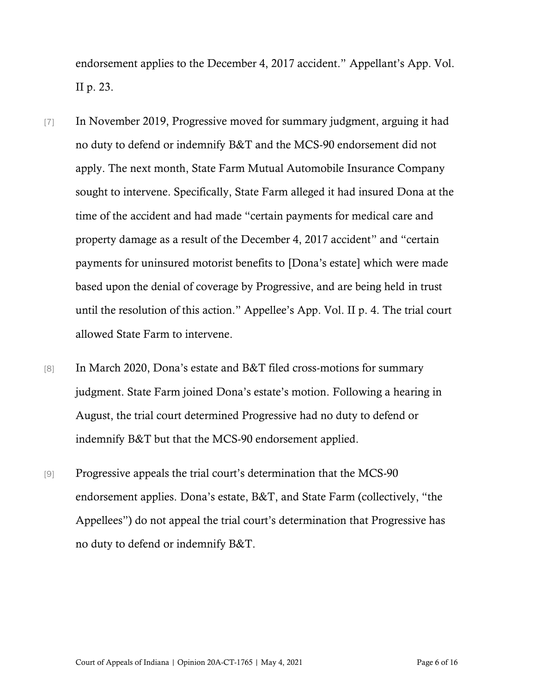endorsement applies to the December 4, 2017 accident." Appellant's App. Vol. II p. 23.

- [7] In November 2019, Progressive moved for summary judgment, arguing it had no duty to defend or indemnify B&T and the MCS-90 endorsement did not apply. The next month, State Farm Mutual Automobile Insurance Company sought to intervene. Specifically, State Farm alleged it had insured Dona at the time of the accident and had made "certain payments for medical care and property damage as a result of the December 4, 2017 accident" and "certain payments for uninsured motorist benefits to [Dona's estate] which were made based upon the denial of coverage by Progressive, and are being held in trust until the resolution of this action." Appellee's App. Vol. II p. 4. The trial court allowed State Farm to intervene.
- [8] In March 2020, Dona's estate and B&T filed cross-motions for summary judgment. State Farm joined Dona's estate's motion. Following a hearing in August, the trial court determined Progressive had no duty to defend or indemnify B&T but that the MCS-90 endorsement applied.
- [9] Progressive appeals the trial court's determination that the MCS-90 endorsement applies. Dona's estate, B&T, and State Farm (collectively, "the Appellees") do not appeal the trial court's determination that Progressive has no duty to defend or indemnify B&T.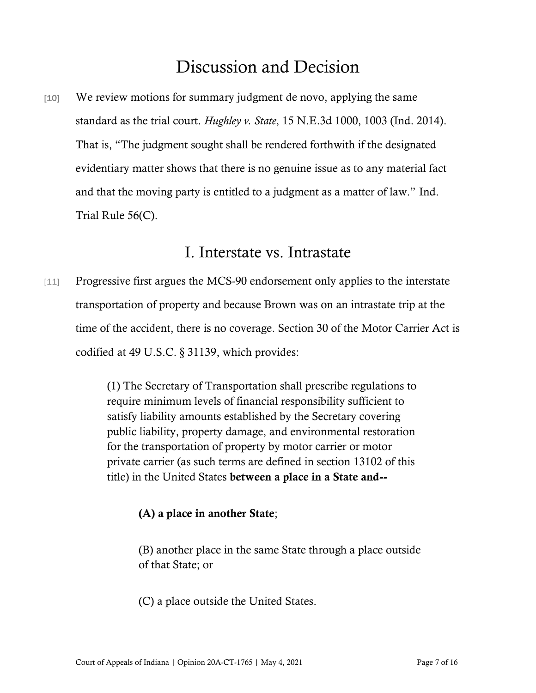## Discussion and Decision

[10] We review motions for summary judgment de novo, applying the same standard as the trial court. *Hughley v. State*, 15 N.E.3d 1000, 1003 (Ind. 2014). That is, "The judgment sought shall be rendered forthwith if the designated evidentiary matter shows that there is no genuine issue as to any material fact and that the moving party is entitled to a judgment as a matter of law." Ind. Trial Rule 56(C).

### I. Interstate vs. Intrastate

[11] Progressive first argues the MCS-90 endorsement only applies to the interstate transportation of property and because Brown was on an intrastate trip at the time of the accident, there is no coverage. Section 30 of the Motor Carrier Act is codified at 49 U.S.C. § 31139, which provides:

> (1) The Secretary of Transportation shall prescribe regulations to require minimum levels of financial responsibility sufficient to satisfy liability amounts established by the Secretary covering public liability, property damage, and environmental restoration for the transportation of property by motor carrier or motor private carrier (as such terms are defined in section 13102 of this title) in the United States between a place in a State and--

#### (A) a place in another State;

(B) another place in the same State through a place outside of that State; or

(C) a place outside the United States.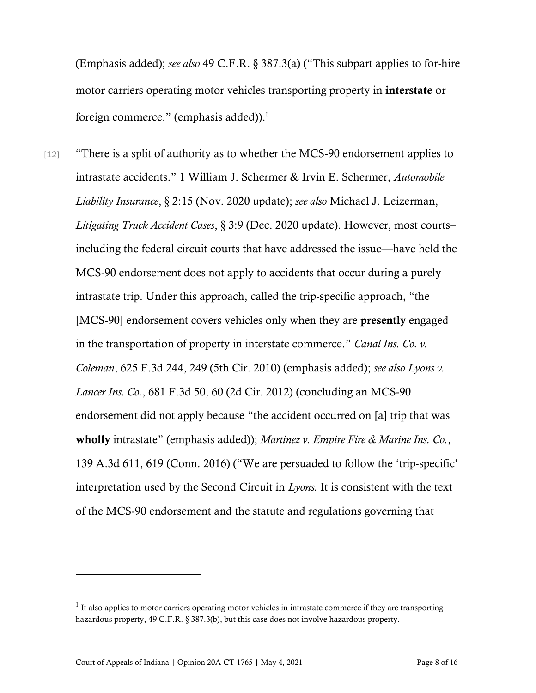(Emphasis added); *see also* 49 C.F.R. § 387.3(a) ("This subpart applies to for-hire motor carriers operating motor vehicles transporting property in interstate or foreign commerce." (emphasis added)). 1

[12] "There is a split of authority as to whether the MCS-90 endorsement applies to intrastate accidents." 1 William J. Schermer & Irvin E. Schermer, *Automobile Liability Insurance*, § 2:15 (Nov. 2020 update); *see also* Michael J. Leizerman, *Litigating Truck Accident Cases*, § 3:9 (Dec. 2020 update). However, most courts– including the federal circuit courts that have addressed the issue—have held the MCS-90 endorsement does not apply to accidents that occur during a purely intrastate trip. Under this approach, called the trip-specific approach, "the [MCS-90] endorsement covers vehicles only when they are **presently** engaged in the transportation of property in interstate commerce." *Canal Ins. Co. v. Coleman*, 625 F.3d 244, 249 (5th Cir. 2010) (emphasis added); *see also Lyons v. Lancer Ins. Co.*, 681 F.3d 50, 60 (2d Cir. 2012) (concluding an MCS-90 endorsement did not apply because "the accident occurred on [a] trip that was wholly intrastate" (emphasis added)); *Martinez v. Empire Fire & Marine Ins. Co.*, 139 A.3d 611, 619 (Conn. 2016) ("We are persuaded to follow the 'trip-specific' interpretation used by the Second Circuit in *Lyons.* It is consistent with the text of the MCS-90 endorsement and the statute and regulations governing that

 $<sup>1</sup>$  It also applies to motor carriers operating motor vehicles in intrastate commerce if they are transporting</sup> hazardous property, 49 C.F.R. § 387.3(b), but this case does not involve hazardous property.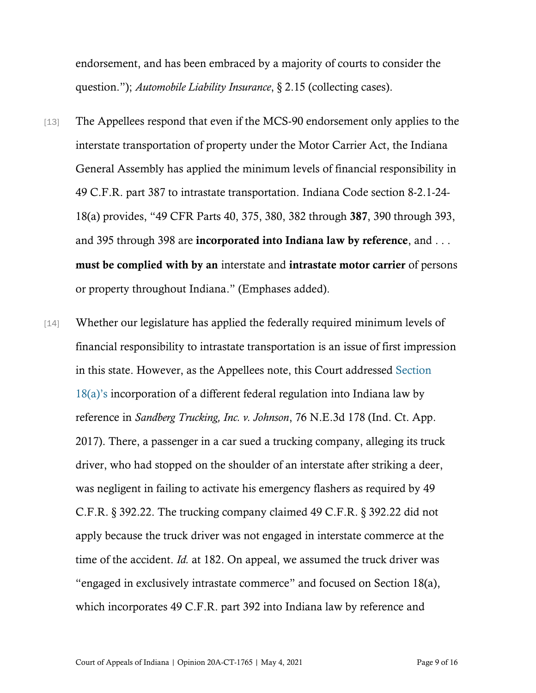endorsement, and has been embraced by a majority of courts to consider the question."); *Automobile Liability Insurance*, § 2.15 (collecting cases).

- [13] The Appellees respond that even if the MCS-90 endorsement only applies to the interstate transportation of property under the Motor Carrier Act, the Indiana General Assembly has applied the minimum levels of financial responsibility in 49 C.F.R. part 387 to intrastate transportation. Indiana Code section 8-2.1-24- 18(a) provides, "49 CFR Parts 40, 375, 380, 382 through 387, 390 through 393, and 395 through 398 are incorporated into Indiana law by reference, and ... must be complied with by an interstate and intrastate motor carrier of persons or property throughout Indiana." (Emphases added).
- [14] Whether our legislature has applied the federally required minimum levels of financial responsibility to intrastate transportation is an issue of first impression in this state. However, as the Appellees note, this Court addressed [Section](https://www.westlaw.com/Document/N3F5E50C02EDB11E6ACAF9E5216076AB4/View/FullText.html?transitionType=Default&contextData=(sc.Default)&VR=3.0&RS=da3.0)  [18\(a\)'s](https://www.westlaw.com/Document/N3F5E50C02EDB11E6ACAF9E5216076AB4/View/FullText.html?transitionType=Default&contextData=(sc.Default)&VR=3.0&RS=da3.0) incorporation of a different federal regulation into Indiana law by reference in *Sandberg Trucking, Inc. v. Johnson*, 76 N.E.3d 178 (Ind. Ct. App. 2017). There, a passenger in a car sued a trucking company, alleging its truck driver, who had stopped on the shoulder of an interstate after striking a deer, was negligent in failing to activate his emergency flashers as required by 49 C.F.R. § 392.22. The trucking company claimed 49 C.F.R. § 392.22 did not apply because the truck driver was not engaged in interstate commerce at the time of the accident. *Id.* at 182. On appeal, we assumed the truck driver was "engaged in exclusively intrastate commerce" and focused on Section 18(a), which incorporates 49 C.F.R. part 392 into Indiana law by reference and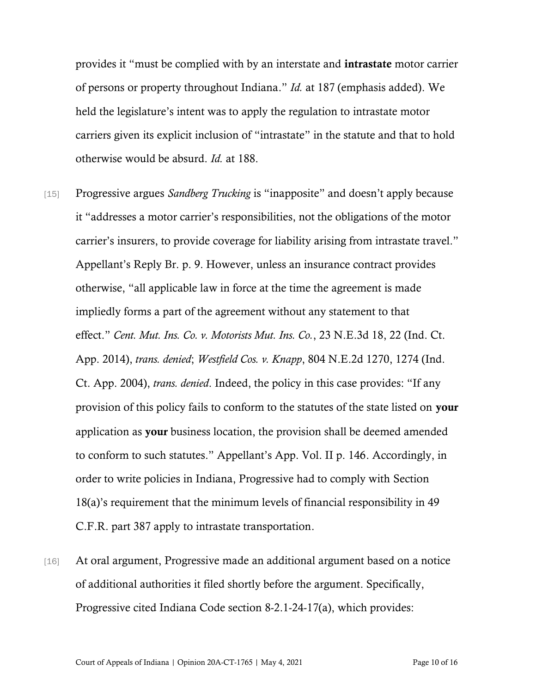provides it "must be complied with by an interstate and intrastate motor carrier of persons or property throughout Indiana." *Id.* at 187 (emphasis added). We held the legislature's intent was to apply the regulation to intrastate motor carriers given its explicit inclusion of "intrastate" in the statute and that to hold otherwise would be absurd. *Id.* at 188.

- [15] Progressive argues *Sandberg Trucking* is "inapposite" and doesn't apply because it "addresses a motor carrier's responsibilities, not the obligations of the motor carrier's insurers, to provide coverage for liability arising from intrastate travel." Appellant's Reply Br. p. 9. However, unless an insurance contract provides otherwise, "all applicable law in force at the time the agreement is made impliedly forms a part of the agreement without any statement to that effect." *Cent. Mut. Ins. Co. v. Motorists Mut. Ins. Co.*, 23 N.E.3d 18, 22 (Ind. Ct. App. 2014), *trans. denied*; *Westfield Cos. v. Knapp*, 804 N.E.2d 1270, 1274 (Ind. Ct. App. 2004), *trans. denied*. Indeed, the policy in this case provides: "If any provision of this policy fails to conform to the statutes of the state listed on your application as your business location, the provision shall be deemed amended to conform to such statutes." Appellant's App. Vol. II p. 146. Accordingly, in order to write policies in Indiana, Progressive had to comply with Section 18(a)'s requirement that the minimum levels of financial responsibility in 49 C.F.R. part 387 apply to intrastate transportation.
- [16] At oral argument, Progressive made an additional argument based on a notice of additional authorities it filed shortly before the argument. Specifically, Progressive cited Indiana Code section 8-2.1-24-17(a), which provides: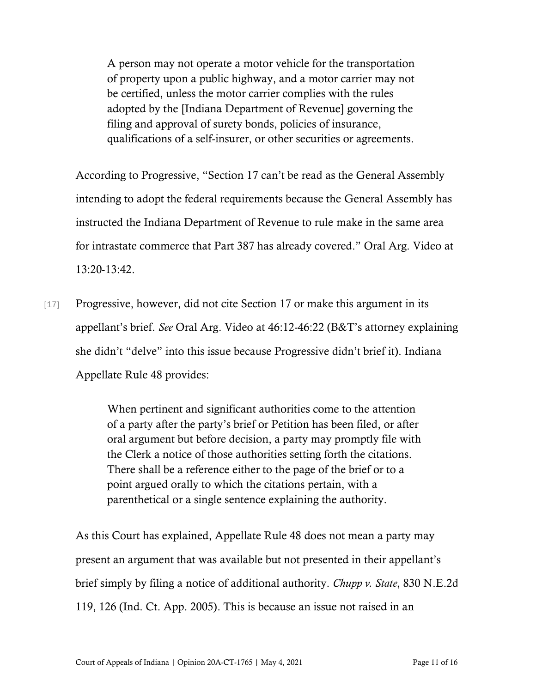A person may not operate a motor vehicle for the transportation of property upon a public highway, and a motor carrier may not be certified, unless the motor carrier complies with the rules adopted by the [Indiana Department of Revenue] governing the filing and approval of surety bonds, policies of insurance, qualifications of a self-insurer, or other securities or agreements.

According to Progressive, "Section 17 can't be read as the General Assembly intending to adopt the federal requirements because the General Assembly has instructed the Indiana Department of Revenue to rule make in the same area for intrastate commerce that Part 387 has already covered." Oral Arg. Video at 13:20-13:42.

[17] Progressive, however, did not cite Section 17 or make this argument in its appellant's brief. *See* Oral Arg. Video at 46:12-46:22 (B&T's attorney explaining she didn't "delve" into this issue because Progressive didn't brief it). Indiana Appellate Rule 48 provides:

> When pertinent and significant authorities come to the attention of a party after the party's brief or Petition has been filed, or after oral argument but before decision, a party may promptly file with the Clerk a notice of those authorities setting forth the citations. There shall be a reference either to the page of the brief or to a point argued orally to which the citations pertain, with a parenthetical or a single sentence explaining the authority.

As this Court has explained, Appellate Rule 48 does not mean a party may present an argument that was available but not presented in their appellant's brief simply by filing a notice of additional authority. *Chupp v. State*, 830 N.E.2d 119, 126 (Ind. Ct. App. 2005). This is because an issue not raised in an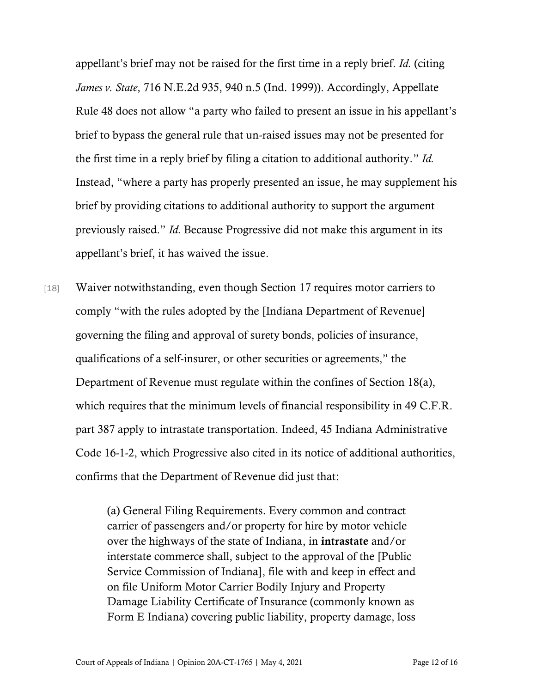appellant's brief may not be raised for the first time in a reply brief. *Id.* (citing *James v. State*, 716 N.E.2d 935, 940 n.5 (Ind. 1999)). Accordingly, Appellate Rule 48 does not allow "a party who failed to present an issue in his appellant's brief to bypass the general rule that un-raised issues may not be presented for the first time in a reply brief by filing a citation to additional authority." *Id.* Instead, "where a party has properly presented an issue, he may supplement his brief by providing citations to additional authority to support the argument previously raised." *Id.* Because Progressive did not make this argument in its appellant's brief, it has waived the issue.

[18] Waiver notwithstanding, even though Section 17 requires motor carriers to comply "with the rules adopted by the [Indiana Department of Revenue] governing the filing and approval of surety bonds, policies of insurance, qualifications of a self-insurer, or other securities or agreements," the Department of Revenue must regulate within the confines of Section 18(a), which requires that the minimum levels of financial responsibility in 49 C.F.R. part 387 apply to intrastate transportation. Indeed, 45 Indiana Administrative Code 16-1-2, which Progressive also cited in its notice of additional authorities, confirms that the Department of Revenue did just that:

> (a) General Filing Requirements. Every common and contract carrier of passengers and/or property for hire by motor vehicle over the highways of the state of Indiana, in intrastate and/or interstate commerce shall, subject to the approval of the [Public Service Commission of Indiana], file with and keep in effect and on file Uniform Motor Carrier Bodily Injury and Property Damage Liability Certificate of Insurance (commonly known as Form E Indiana) covering public liability, property damage, loss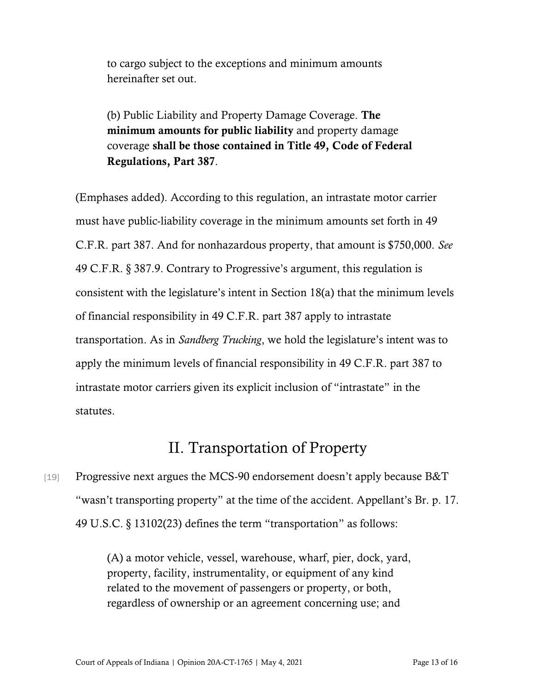to cargo subject to the exceptions and minimum amounts hereinafter set out.

(b) Public Liability and Property Damage Coverage. The minimum amounts for public liability and property damage coverage shall be those contained in Title 49, Code of Federal Regulations, Part 387.

(Emphases added). According to this regulation, an intrastate motor carrier must have public-liability coverage in the minimum amounts set forth in 49 C.F.R. part 387. And for nonhazardous property, that amount is \$750,000. *See* 49 C.F.R. § 387.9. Contrary to Progressive's argument, this regulation is consistent with the legislature's intent in Section 18(a) that the minimum levels of financial responsibility in 49 C.F.R. part 387 apply to intrastate transportation. As in *Sandberg Trucking*, we hold the legislature's intent was to apply the minimum levels of financial responsibility in 49 C.F.R. part 387 to intrastate motor carriers given its explicit inclusion of "intrastate" in the statutes.

## II. Transportation of Property

[19] Progressive next argues the MCS-90 endorsement doesn't apply because B&T "wasn't transporting property" at the time of the accident. Appellant's Br. p. 17. 49 U.S.C. § 13102(23) defines the term "transportation" as follows:

> (A) a motor vehicle, vessel, warehouse, wharf, pier, dock, yard, property, facility, instrumentality, or equipment of any kind related to the movement of passengers or property, or both, regardless of ownership or an agreement concerning use; and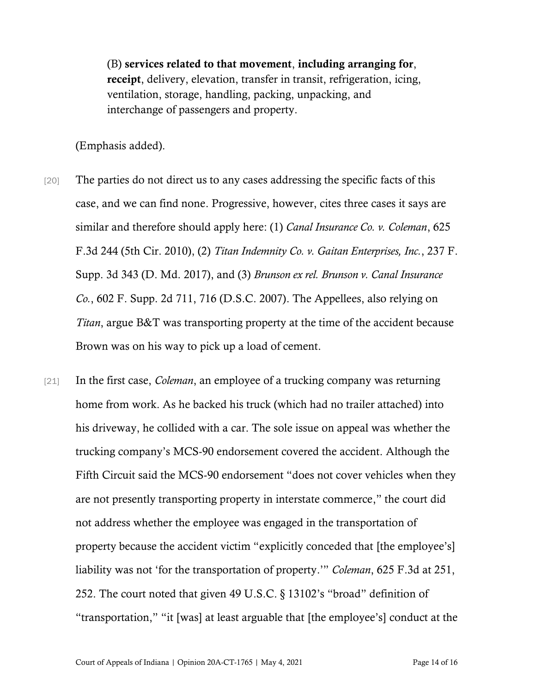(B) services related to that movement, including arranging for, receipt, delivery, elevation, transfer in transit, refrigeration, icing, ventilation, storage, handling, packing, unpacking, and interchange of passengers and property.

(Emphasis added).

- [20] The parties do not direct us to any cases addressing the specific facts of this case, and we can find none. Progressive, however, cites three cases it says are similar and therefore should apply here: (1) *Canal Insurance Co. v. Coleman*, 625 F.3d 244 (5th Cir. 2010), (2) *Titan Indemnity Co. v. Gaitan Enterprises, Inc.*, 237 F. Supp. 3d 343 (D. Md. 2017), and (3) *Brunson ex rel. Brunson v. Canal Insurance Co.*, 602 F. Supp. 2d 711, 716 (D.S.C. 2007). The Appellees, also relying on *Titan*, argue B&T was transporting property at the time of the accident because Brown was on his way to pick up a load of cement.
- [21] In the first case, *Coleman*, an employee of a trucking company was returning home from work. As he backed his truck (which had no trailer attached) into his driveway, he collided with a car. The sole issue on appeal was whether the trucking company's MCS-90 endorsement covered the accident. Although the Fifth Circuit said the MCS-90 endorsement "does not cover vehicles when they are not presently transporting property in interstate commerce," the court did not address whether the employee was engaged in the transportation of property because the accident victim "explicitly conceded that [the employee's] liability was not 'for the transportation of property.'" *Coleman*, 625 F.3d at 251, 252. The court noted that given 49 U.S.C. § 13102's "broad" definition of "transportation," "it [was] at least arguable that [the employee's] conduct at the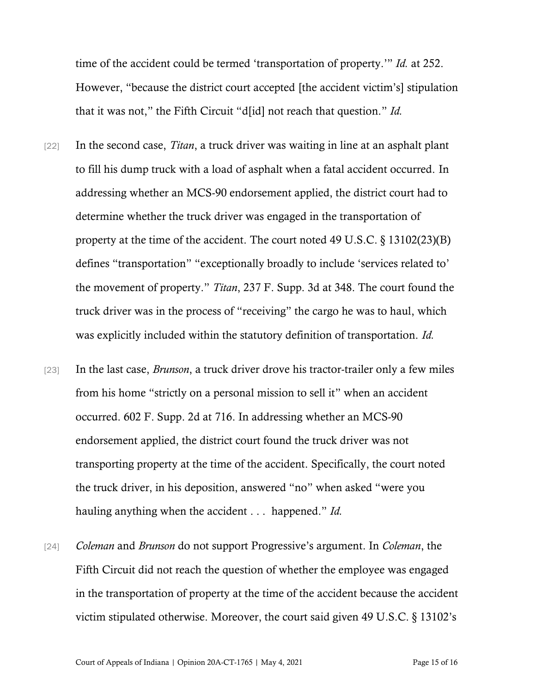time of the accident could be termed 'transportation of property.'" *Id.* at 252. However, "because the district court accepted [the accident victim's] stipulation that it was not," the Fifth Circuit "d[id] not reach that question." *Id.*

- [22] In the second case, *Titan*, a truck driver was waiting in line at an asphalt plant to fill his dump truck with a load of asphalt when a fatal accident occurred. In addressing whether an MCS-90 endorsement applied, the district court had to determine whether the truck driver was engaged in the transportation of property at the time of the accident. The court noted 49 U.S.C. § 13102(23)(B) defines "transportation" "exceptionally broadly to include 'services related to' the movement of property." *Titan*, 237 F. Supp. 3d at 348. The court found the truck driver was in the process of "receiving" the cargo he was to haul, which was explicitly included within the statutory definition of transportation. *Id.*
- [23] In the last case, *Brunson*, a truck driver drove his tractor-trailer only a few miles from his home "strictly on a personal mission to sell it" when an accident occurred. 602 F. Supp. 2d at 716. In addressing whether an MCS-90 endorsement applied, the district court found the truck driver was not transporting property at the time of the accident. Specifically, the court noted the truck driver, in his deposition, answered "no" when asked "were you hauling anything when the accident . . . happened." *Id.*
- [24] *Coleman* and *Brunson* do not support Progressive's argument. In *Coleman*, the Fifth Circuit did not reach the question of whether the employee was engaged in the transportation of property at the time of the accident because the accident victim stipulated otherwise. Moreover, the court said given 49 U.S.C. § 13102's